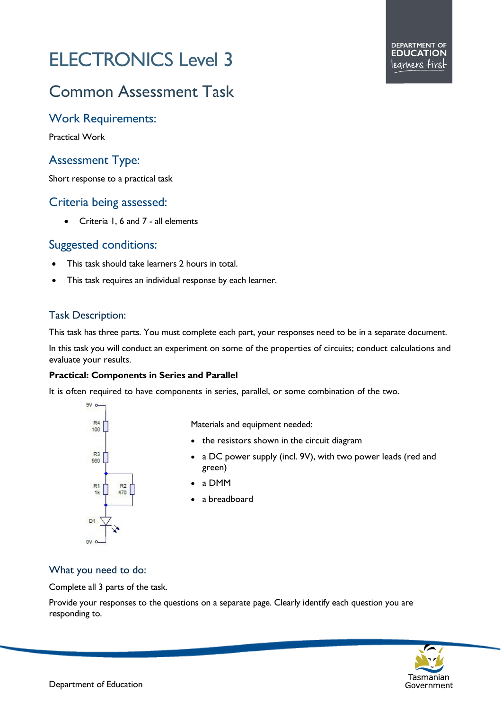# ELECTRONICS Level 3

# Common Assessment Task

# Work Requirements:

Practical Work

# Assessment Type:

Short response to a practical task

# Criteria being assessed:

• Criteria 1, 6 and 7 - all elements

# Suggested conditions:

- This task should take learners 2 hours in total.
- This task requires an individual response by each learner.

### Task Description:

This task has three parts. You must complete each part, your responses need to be in a separate document.

In this task you will conduct an experiment on some of the properties of circuits; conduct calculations and evaluate your results.

#### **Practical: Components in Series and Parallel**

It is often required to have components in series, parallel, or some combination of the two.



Materials and equipment needed:

- the resistors shown in the circuit diagram
- a DC power supply (incl. 9V), with two power leads (red and green)
- a DMM
- a breadboard

#### What you need to do:

Complete all 3 parts of the task.

Provide your responses to the questions on a separate page. Clearly identify each question you are responding to.